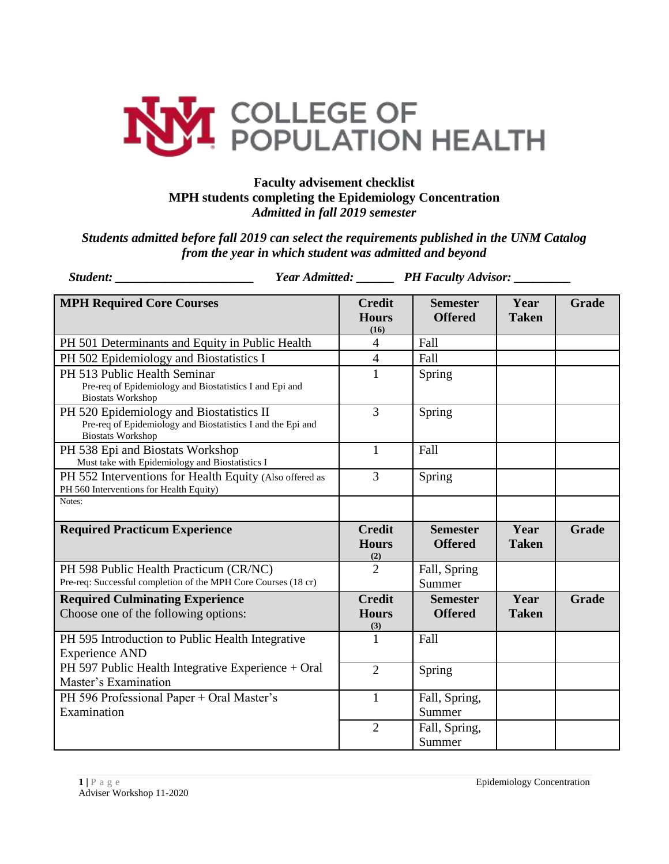

## **Faculty advisement checklist MPH students completing the Epidemiology Concentration**  *Admitted in fall 2019 semester*

*Students admitted before fall 2019 can select the requirements published in the UNM Catalog from the year in which student was admitted and beyond*

| Student:                                                                                                                            |                                       | Year Admitted: PH Faculty Advisor: |                      |              |
|-------------------------------------------------------------------------------------------------------------------------------------|---------------------------------------|------------------------------------|----------------------|--------------|
| <b>MPH Required Core Courses</b>                                                                                                    | <b>Credit</b><br><b>Hours</b><br>(16) | <b>Semester</b><br><b>Offered</b>  | Year<br><b>Taken</b> | Grade        |
| PH 501 Determinants and Equity in Public Health                                                                                     | $\overline{4}$                        | Fall                               |                      |              |
| PH 502 Epidemiology and Biostatistics I                                                                                             | $\overline{4}$                        | Fall                               |                      |              |
| PH 513 Public Health Seminar<br>Pre-req of Epidemiology and Biostatistics I and Epi and<br><b>Biostats Workshop</b>                 | $\mathbf{1}$                          | Spring                             |                      |              |
| PH 520 Epidemiology and Biostatistics II<br>Pre-req of Epidemiology and Biostatistics I and the Epi and<br><b>Biostats Workshop</b> | 3                                     | Spring                             |                      |              |
| PH 538 Epi and Biostats Workshop<br>Must take with Epidemiology and Biostatistics I                                                 | $\mathbf{1}$                          | Fall                               |                      |              |
| PH 552 Interventions for Health Equity (Also offered as<br>PH 560 Interventions for Health Equity)                                  | 3                                     | Spring                             |                      |              |
| Notes:                                                                                                                              |                                       |                                    |                      |              |
| <b>Required Practicum Experience</b>                                                                                                | <b>Credit</b><br><b>Hours</b><br>(2)  | <b>Semester</b><br><b>Offered</b>  | Year<br><b>Taken</b> | Grade        |
| PH 598 Public Health Practicum (CR/NC)<br>Pre-req: Successful completion of the MPH Core Courses (18 cr)                            | $\overline{2}$                        | Fall, Spring<br>Summer             |                      |              |
| <b>Required Culminating Experience</b><br>Choose one of the following options:                                                      | <b>Credit</b><br><b>Hours</b><br>(3)  | <b>Semester</b><br><b>Offered</b>  | Year<br><b>Taken</b> | <b>Grade</b> |
| PH 595 Introduction to Public Health Integrative<br><b>Experience AND</b>                                                           | 1                                     | Fall                               |                      |              |
| PH 597 Public Health Integrative Experience + Oral<br>Master's Examination                                                          | $\overline{2}$                        | Spring                             |                      |              |
| PH 596 Professional Paper + Oral Master's<br>Examination                                                                            | $\mathbf{1}$                          | Fall, Spring,<br>Summer            |                      |              |
|                                                                                                                                     | $\overline{2}$                        | Fall, Spring,<br>Summer            |                      |              |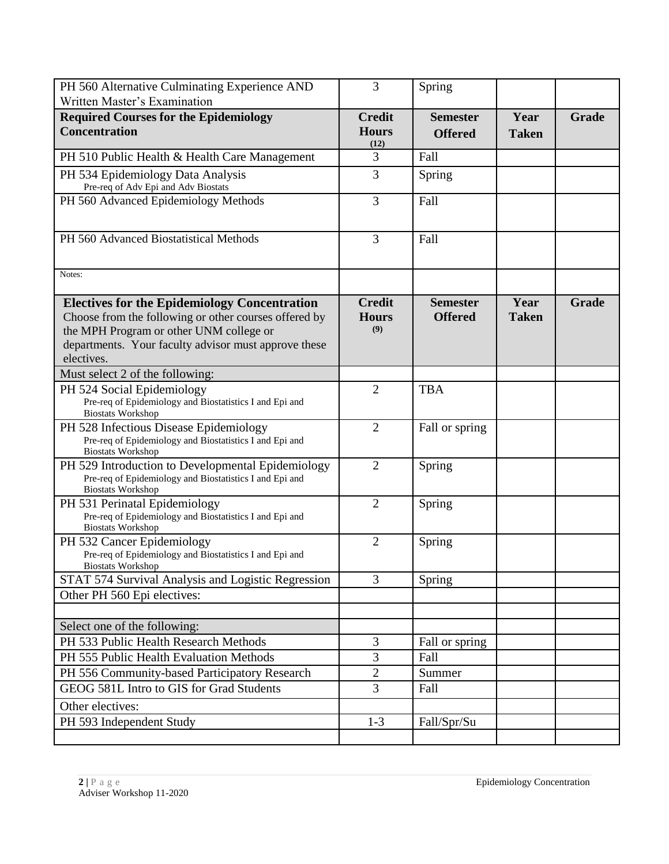| PH 560 Alternative Culminating Experience AND                                                                                            | 3                                     | Spring                            |                      |       |
|------------------------------------------------------------------------------------------------------------------------------------------|---------------------------------------|-----------------------------------|----------------------|-------|
| Written Master's Examination                                                                                                             |                                       |                                   |                      |       |
| <b>Required Courses for the Epidemiology</b><br><b>Concentration</b>                                                                     | <b>Credit</b><br><b>Hours</b><br>(12) | <b>Semester</b><br><b>Offered</b> | Year<br><b>Taken</b> | Grade |
| PH 510 Public Health & Health Care Management                                                                                            | 3                                     | Fall                              |                      |       |
| PH 534 Epidemiology Data Analysis<br>Pre-req of Adv Epi and Adv Biostats                                                                 | 3                                     | Spring                            |                      |       |
| PH 560 Advanced Epidemiology Methods                                                                                                     | 3                                     | Fall                              |                      |       |
| PH 560 Advanced Biostatistical Methods                                                                                                   | 3                                     | Fall                              |                      |       |
| Notes:                                                                                                                                   |                                       |                                   |                      |       |
| <b>Electives for the Epidemiology Concentration</b>                                                                                      | <b>Credit</b>                         | <b>Semester</b>                   | Year                 | Grade |
| Choose from the following or other courses offered by                                                                                    | <b>Hours</b>                          | <b>Offered</b>                    | <b>Taken</b>         |       |
| the MPH Program or other UNM college or                                                                                                  | (9)                                   |                                   |                      |       |
| departments. Your faculty advisor must approve these                                                                                     |                                       |                                   |                      |       |
| electives.                                                                                                                               |                                       |                                   |                      |       |
| Must select 2 of the following:                                                                                                          |                                       |                                   |                      |       |
| PH 524 Social Epidemiology<br>Pre-req of Epidemiology and Biostatistics I and Epi and<br><b>Biostats Workshop</b>                        | $\overline{2}$                        | <b>TBA</b>                        |                      |       |
| PH 528 Infectious Disease Epidemiology<br>Pre-req of Epidemiology and Biostatistics I and Epi and<br><b>Biostats Workshop</b>            | $\overline{2}$                        | Fall or spring                    |                      |       |
| PH 529 Introduction to Developmental Epidemiology<br>Pre-req of Epidemiology and Biostatistics I and Epi and<br><b>Biostats Workshop</b> | $\overline{2}$                        | Spring                            |                      |       |
| PH 531 Perinatal Epidemiology<br>Pre-req of Epidemiology and Biostatistics I and Epi and<br><b>Biostats Workshop</b>                     | $\overline{2}$                        | Spring                            |                      |       |
| PH 532 Cancer Epidemiology<br>Pre-req of Epidemiology and Biostatistics I and Epi and<br><b>Biostats Workshop</b>                        | $\overline{2}$                        | Spring                            |                      |       |
| STAT 574 Survival Analysis and Logistic Regression                                                                                       | 3                                     | Spring                            |                      |       |
| Other PH 560 Epi electives:                                                                                                              |                                       |                                   |                      |       |
|                                                                                                                                          |                                       |                                   |                      |       |
| Select one of the following:                                                                                                             |                                       |                                   |                      |       |
| PH 533 Public Health Research Methods                                                                                                    | 3                                     | Fall or spring                    |                      |       |
| PH 555 Public Health Evaluation Methods                                                                                                  | 3                                     | Fall                              |                      |       |
| PH 556 Community-based Participatory Research                                                                                            | $\overline{2}$                        | Summer                            |                      |       |
| GEOG 581L Intro to GIS for Grad Students                                                                                                 | 3                                     | Fall                              |                      |       |
| Other electives:                                                                                                                         |                                       |                                   |                      |       |
| PH 593 Independent Study                                                                                                                 | $1 - 3$                               | Fall/Spr/Su                       |                      |       |
|                                                                                                                                          |                                       |                                   |                      |       |